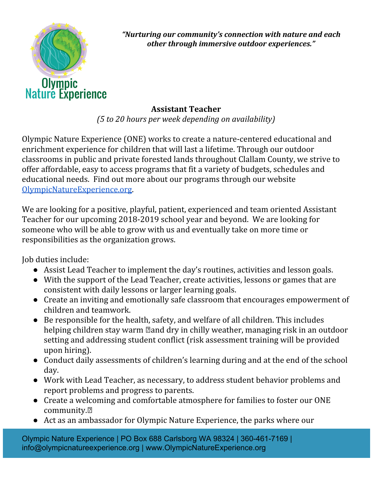

*"Nurturing our community's connection with nature and each other through immersive outdoor experiences."*

## **Assistant Teacher**

*(5 to 20 hours per week depending on availability)*

Olympic Nature Experience (ONE) works to create a nature-centered educational and enrichment experience for children that will last a lifetime. Through our outdoor classrooms in public and private forested lands throughout Clallam County, we strive to offer affordable, easy to access programs that fit a variety of budgets, schedules and educational needs. Find out more about our programs through our website [OlympicNatureExperience.org.](https://www.olympicnatureexperience.org/)

We are looking for a positive, playful, patient, experienced and team oriented Assistant Teacher for our upcoming 2018-2019 school year and beyond. We are looking for someone who will be able to grow with us and eventually take on more time or responsibilities as the organization grows.

Job duties include:

- Assist Lead Teacher to implement the day's routines, activities and lesson goals.
- With the support of the Lead Teacher, create activities, lessons or games that are consistent with daily lessons or larger learning goals.
- Create an inviting and emotionally safe classroom that encourages empowerment of children and teamwork.
- Be responsible for the health, safety, and welfare of all children. This includes helping children stay warm  $\mathbb Z$  and dry in chilly weather, managing risk in an outdoor setting and addressing student conflict (risk assessment training will be provided upon hiring).
- Conduct daily assessments of children's learning during and at the end of the school day.
- Work with Lead Teacher, as necessary, to address student behavior problems and report problems and progress to parents.
- Create a welcoming and comfortable atmosphere for families to foster our ONE community.
- Act as an ambassador for Olympic Nature Experience, the parks where our

Olympic Nature Experience | PO Box 688 Carlsborg WA 98324 | 360-461-7169 | info@olympicnatureexperience.org | www.OlympicNatureExperience.org